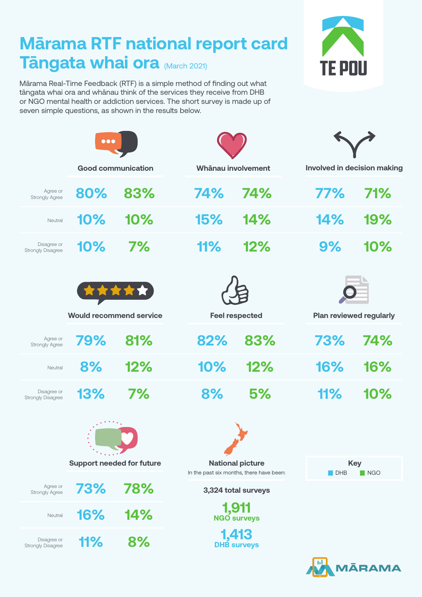## **Mārama RTF national report card Tāngata whai ora** (March 2021)

Mārama Real-Time Feedback (RTF) is a simple method of finding out what tāngata whai ora and whānau think of the services they receive from DHB or NGO mental health or addiction services. The short survey is made up of seven simple questions, as shown in the results below.







|                                         | $\bullet\bullet\bullet$                 |     |     |                       |     |                                    |  |
|-----------------------------------------|-----------------------------------------|-----|-----|-----------------------|-----|------------------------------------|--|
|                                         | <b>Good communication</b>               |     |     | Whānau involvement    |     | <b>Involved in decision making</b> |  |
| Agree or<br><b>Strongly Agree</b>       | 80%                                     | 83% | 74% | 74%                   | 77% | 71%                                |  |
| Neutral                                 | 10%                                     | 10% | 15% | 14%                   | 14% | 19%                                |  |
| Disagree or<br><b>Strongly Disagree</b> | 10%                                     | 7%  | 11% | 12%                   | 9%  | 10%                                |  |
|                                         | *****<br><b>Would recommend service</b> |     |     | <b>Feel respected</b> |     | <b>Plan reviewed regularly</b>     |  |
| Agree or<br><b>Strongly Agree</b>       | 79%                                     | 81% | 82% | 83%                   | 73% | 74%                                |  |
| Neutral                                 | 8%                                      | 12% | 10% | 12%                   | 16% | 16%                                |  |
| Disagree or<br><b>Strongly Disagree</b> | 13%                                     | 7%  | 8%  | 5%                    | 11% | 10%                                |  |
|                                         | $\bullet$ $\bullet$                     |     |     |                       |     |                                    |  |